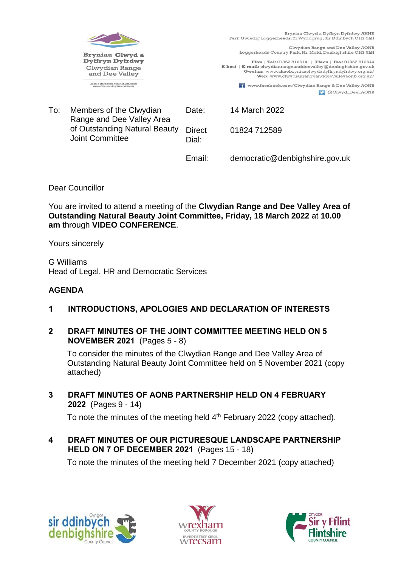

Clwydian Range and Dee Valley AONB Loggerheads Country Park, Nr. Mold, Denbighshire CH7 5LH

 $\textbf{Ffon} \mid \textbf{Tel:} 01352 \; 810614 \mid \textbf{Ffacs} \mid \textbf{Fax:} 01352 \; 810644 \text{ } \textbf{E-bost} \mid \textbf{E-mail:} \text{clwydianrange} \text{and} \text{deevally@denbig} \text{hshire.g.} \text{ov.uk}$ Swefan: www.ahnebryniauclwydadyffryndyfrdwy.org.uk/<br>Web: www.ahnebryniauclwydadyffryndyfrdwy.org.uk/<br>Web: www.clwydianrangeanddeevalleyaonb.org.uk/

> **T** www.facebook.com/Clwydian Range & Dee Valley AONB C @Clwyd\_Dee\_AONB

To: Members of the Clwydian Range and Dee Valley Area of Outstanding Natural Beauty Joint Committee Date: 14 March 2022 **Direct** Dial: 01824 712589

Email: democratic@denbighshire.gov.uk

Dear Councillor

You are invited to attend a meeting of the **Clwydian Range and Dee Valley Area of Outstanding Natural Beauty Joint Committee, Friday, 18 March 2022** at **10.00 am** through **VIDEO CONFERENCE**.

Yours sincerely

G Williams Head of Legal, HR and Democratic Services

# **AGENDA**

- **1 INTRODUCTIONS, APOLOGIES AND DECLARATION OF INTERESTS**
- **2 DRAFT MINUTES OF THE JOINT COMMITTEE MEETING HELD ON 5 NOVEMBER 2021** (Pages 5 - 8)

To consider the minutes of the Clwydian Range and Dee Valley Area of Outstanding Natural Beauty Joint Committee held on 5 November 2021 (copy attached)

**3 DRAFT MINUTES OF AONB PARTNERSHIP HELD ON 4 FEBRUARY 2022** (Pages 9 - 14)

To note the minutes of the meeting held 4<sup>th</sup> February 2022 (copy attached).

**4 DRAFT MINUTES OF OUR PICTURESQUE LANDSCAPE PARTNERSHIP HELD ON 7 OF DECEMBER 2021** (Pages 15 - 18)

To note the minutes of the meeting held 7 December 2021 (copy attached)